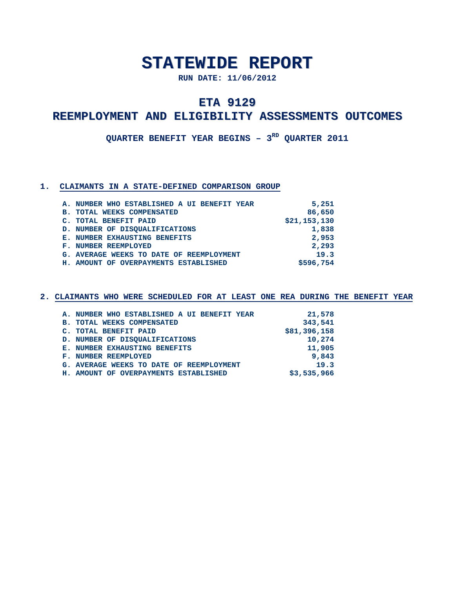## **STATEWIDE REPORT**

**RUN DATE: 11/06/2012**

## **ETA 9129**

### **REEMPLOYMENT AND ELIGIBILITY ASSESSMENTS OUTCOMES**

QUARTER BENEFIT YEAR BEGINS -  $3^{RD}$  QUARTER 2011

#### **1. CLAIMANTS IN A STATE-DEFINED COMPARISON GROUP**

|    | A. NUMBER WHO ESTABLISHED A UI BENEFIT YEAR | 5,251        |
|----|---------------------------------------------|--------------|
| в. | TOTAL WEEKS COMPENSATED                     | 86,650       |
|    | C. TOTAL BENEFIT PAID                       | \$21,153,130 |
|    | D. NUMBER OF DISQUALIFICATIONS              | 1,838        |
|    | <b>E. NUMBER EXHAUSTING BENEFITS</b>        | 2,953        |
|    | <b>F. NUMBER REEMPLOYED</b>                 | 2,293        |
|    | G. AVERAGE WEEKS TO DATE OF REEMPLOYMENT    | 19.3         |
|    | H. AMOUNT OF OVERPAYMENTS ESTABLISHED       | \$596,754    |

| A. NUMBER WHO ESTABLISHED A UI BENEFIT YEAR | 21,578       |
|---------------------------------------------|--------------|
| <b>B. TOTAL WEEKS COMPENSATED</b>           | 343,541      |
| C. TOTAL BENEFIT PAID                       | \$81,396,158 |
| D. NUMBER OF DISQUALIFICATIONS              | 10,274       |
| <b>E. NUMBER EXHAUSTING BENEFITS</b>        | 11,905       |
| <b>F. NUMBER REEMPLOYED</b>                 | 9,843        |
| G. AVERAGE WEEKS TO DATE OF REEMPLOYMENT    | 19.3         |
| H. AMOUNT OF OVERPAYMENTS ESTABLISHED       | \$3,535,966  |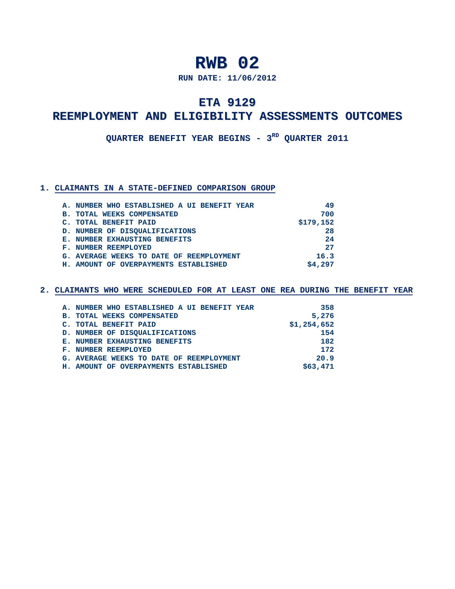**RUN DATE: 11/06/2012**

## **ETA 9129**

### **REEMPLOYMENT AND ELIGIBILITY ASSESSMENTS OUTCOMES**

**QUARTER BENEFIT YEAR BEGINS - 3RD QUARTER 2011**

### **1. CLAIMANTS IN A STATE-DEFINED COMPARISON GROUP**

| A. NUMBER WHO ESTABLISHED A UI BENEFIT YEAR | 49        |
|---------------------------------------------|-----------|
| <b>B. TOTAL WEEKS COMPENSATED</b>           | 700       |
| C. TOTAL BENEFIT PAID                       | \$179,152 |
| D. NUMBER OF DISQUALIFICATIONS              | 28        |
| <b>E. NUMBER EXHAUSTING BENEFITS</b>        | 24        |
| <b>F. NUMBER REEMPLOYED</b>                 | 27        |
| G. AVERAGE WEEKS TO DATE OF REEMPLOYMENT    | 16.3      |
| H. AMOUNT OF OVERPAYMENTS ESTABLISHED       | \$4.297   |
|                                             |           |

| A. NUMBER WHO ESTABLISHED A UI BENEFIT YEAR | 358         |
|---------------------------------------------|-------------|
| <b>B. TOTAL WEEKS COMPENSATED</b>           | 5,276       |
| C. TOTAL BENEFIT PAID                       | \$1,254,652 |
| D. NUMBER OF DISQUALIFICATIONS              | 154         |
| <b>E. NUMBER EXHAUSTING BENEFITS</b>        | 182         |
| F. NUMBER REEMPLOYED                        | 172         |
| G. AVERAGE WEEKS TO DATE OF REEMPLOYMENT    | 20.9        |
| H. AMOUNT OF OVERPAYMENTS ESTABLISHED       | \$63.471    |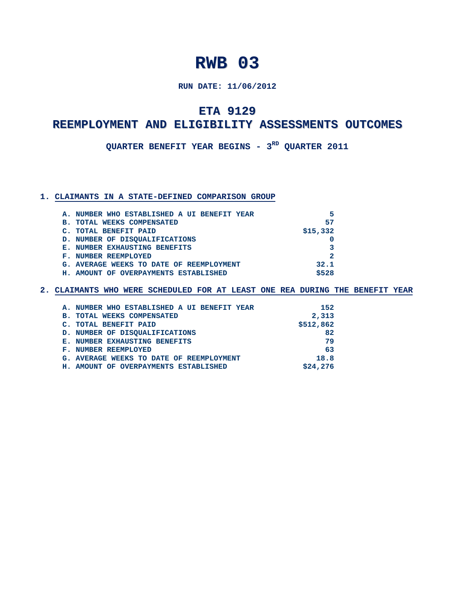### **RUN DATE: 11/06/2012**

### **ETA 9129**

### **REEMPLOYMENT AND ELIGIBILITY ASSESSMENTS OUTCOMES**

**QUARTER BENEFIT YEAR BEGINS - 3RD QUARTER 2011**

#### **1. CLAIMANTS IN A STATE-DEFINED COMPARISON GROUP**

|                | A. NUMBER WHO ESTABLISHED A UI BENEFIT YEAR | 5        |
|----------------|---------------------------------------------|----------|
| в.             | TOTAL WEEKS COMPENSATED                     | 57       |
| $\mathbf{C}$ . | <b>TOTAL BENEFIT PAID</b>                   | \$15,332 |
|                | D. NUMBER OF DISQUALIFICATIONS              |          |
|                | <b>E. NUMBER EXHAUSTING BENEFITS</b>        |          |
|                | <b>F. NUMBER REEMPLOYED</b>                 | 2        |
|                | G. AVERAGE WEEKS TO DATE OF REEMPLOYMENT    | 32.1     |
|                | H. AMOUNT OF OVERPAYMENTS ESTABLISHED       | \$528    |

| A. NUMBER WHO ESTABLISHED A UI BENEFIT YEAR | 152       |
|---------------------------------------------|-----------|
| <b>B. TOTAL WEEKS COMPENSATED</b>           | 2,313     |
| C. TOTAL BENEFIT PAID                       | \$512,862 |
| D. NUMBER OF DISQUALIFICATIONS              | 82        |
| E. NUMBER EXHAUSTING BENEFITS               | 79        |
| <b>F. NUMBER REEMPLOYED</b>                 | 63        |
| G. AVERAGE WEEKS TO DATE OF REEMPLOYMENT    | 18.8      |
| H. AMOUNT OF OVERPAYMENTS ESTABLISHED       | \$24,276  |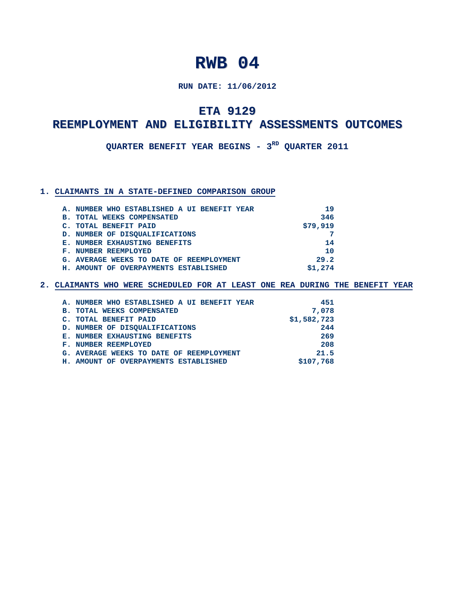### **RUN DATE: 11/06/2012**

### **ETA 9129**

### **REEMPLOYMENT AND ELIGIBILITY ASSESSMENTS OUTCOMES**

**QUARTER BENEFIT YEAR BEGINS - 3RD QUARTER 2011**

### **1. CLAIMANTS IN A STATE-DEFINED COMPARISON GROUP**

| A. NUMBER WHO ESTABLISHED A UI BENEFIT YEAR | 19       |
|---------------------------------------------|----------|
| <b>B. TOTAL WEEKS COMPENSATED</b>           | 346      |
| C. TOTAL BENEFIT PAID                       | \$79,919 |
| D. NUMBER OF DISQUALIFICATIONS              |          |
| <b>E. NUMBER EXHAUSTING BENEFITS</b>        | 14       |
| <b>F. NUMBER REEMPLOYED</b>                 | 10       |
| G. AVERAGE WEEKS TO DATE OF REEMPLOYMENT    | 29.2     |
| H. AMOUNT OF OVERPAYMENTS ESTABLISHED       | \$1.274  |

|    | A. NUMBER WHO ESTABLISHED A UI BENEFIT YEAR | 451         |
|----|---------------------------------------------|-------------|
| в. | TOTAL WEEKS COMPENSATED                     | 7,078       |
|    | C. TOTAL BENEFIT PAID                       | \$1,582,723 |
|    | D. NUMBER OF DISQUALIFICATIONS              | 244         |
|    | <b>E. NUMBER EXHAUSTING BENEFITS</b>        | 269         |
|    | <b>F. NUMBER REEMPLOYED</b>                 | 208         |
|    | G. AVERAGE WEEKS TO DATE OF REEMPLOYMENT    | 21.5        |
|    | H. AMOUNT OF OVERPAYMENTS ESTABLISHED       | \$107,768   |
|    |                                             |             |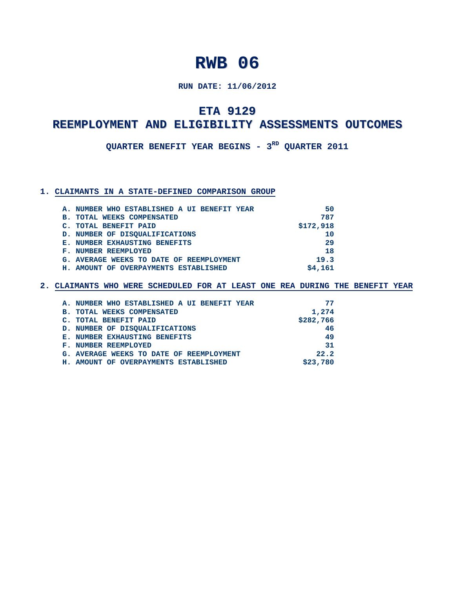### **RUN DATE: 11/06/2012**

### **ETA 9129**

### **REEMPLOYMENT AND ELIGIBILITY ASSESSMENTS OUTCOMES**

**QUARTER BENEFIT YEAR BEGINS - 3RD QUARTER 2011**

### **1. CLAIMANTS IN A STATE-DEFINED COMPARISON GROUP**

|    | A. NUMBER WHO ESTABLISHED A UI BENEFIT YEAR | 50        |
|----|---------------------------------------------|-----------|
| в. | TOTAL WEEKS COMPENSATED                     | 787       |
|    | C. TOTAL BENEFIT PAID                       | \$172,918 |
|    | D. NUMBER OF DISQUALIFICATIONS              | 10        |
|    | <b>E. NUMBER EXHAUSTING BENEFITS</b>        | 29        |
|    | <b>F. NUMBER REEMPLOYED</b>                 | 18        |
|    | G. AVERAGE WEEKS TO DATE OF REEMPLOYMENT    | 19.3      |
|    | H. AMOUNT OF OVERPAYMENTS ESTABLISHED       | \$4,161   |
|    |                                             |           |

| A. NUMBER WHO ESTABLISHED A UI BENEFIT YEAR | 77        |
|---------------------------------------------|-----------|
| <b>B. TOTAL WEEKS COMPENSATED</b>           | 1,274     |
| C. TOTAL BENEFIT PAID                       | \$282,766 |
| D. NUMBER OF DISQUALIFICATIONS              | 46        |
| <b>E. NUMBER EXHAUSTING BENEFITS</b>        | 49        |
| <b>F. NUMBER REEMPLOYED</b>                 | 31        |
| G. AVERAGE WEEKS TO DATE OF REEMPLOYMENT    | 22.2      |
| H. AMOUNT OF OVERPAYMENTS ESTABLISHED       | \$23,780  |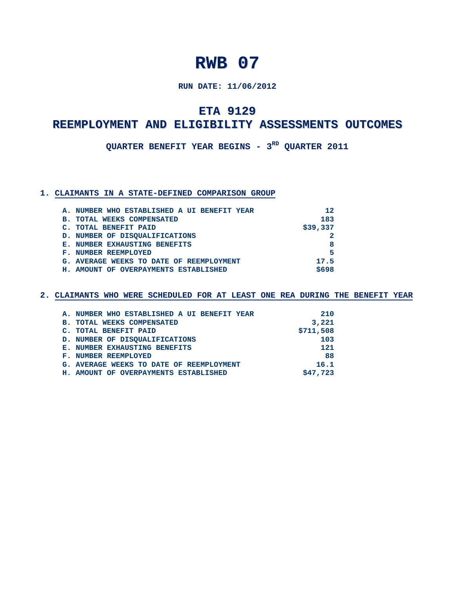### **RUN DATE: 11/06/2012**

### **ETA 9129**

### **REEMPLOYMENT AND ELIGIBILITY ASSESSMENTS OUTCOMES**

**QUARTER BENEFIT YEAR BEGINS - 3RD QUARTER 2011**

#### **1. CLAIMANTS IN A STATE-DEFINED COMPARISON GROUP**

|           | A. NUMBER WHO ESTABLISHED A UI BENEFIT YEAR | 12       |
|-----------|---------------------------------------------|----------|
| <b>B.</b> | TOTAL WEEKS COMPENSATED                     | 183      |
| C.        | <b>TOTAL BENEFIT PAID</b>                   | \$39,337 |
|           | D. NUMBER OF DISQUALIFICATIONS              |          |
|           | <b>E. NUMBER EXHAUSTING BENEFITS</b>        | 8        |
|           | <b>F. NUMBER REEMPLOYED</b>                 | 5        |
|           | G. AVERAGE WEEKS TO DATE OF REEMPLOYMENT    | 17.5     |
|           | H. AMOUNT OF OVERPAYMENTS ESTABLISHED       | \$698    |

| A. NUMBER WHO ESTABLISHED A UI BENEFIT YEAR | 210       |
|---------------------------------------------|-----------|
| <b>B. TOTAL WEEKS COMPENSATED</b>           | 3,221     |
| C. TOTAL BENEFIT PAID                       | \$711,508 |
| D. NUMBER OF DISQUALIFICATIONS              | 103       |
| <b>E. NUMBER EXHAUSTING BENEFITS</b>        | 121       |
| <b>F. NUMBER REEMPLOYED</b>                 | 88        |
| G. AVERAGE WEEKS TO DATE OF REEMPLOYMENT    | 16.1      |
| H. AMOUNT OF OVERPAYMENTS ESTABLISHED       | \$47,723  |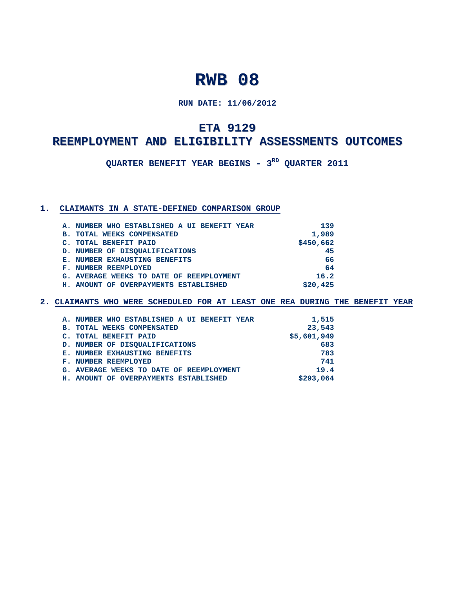**RUN DATE: 11/06/2012**

## **ETA 9129**

### **REEMPLOYMENT AND ELIGIBILITY ASSESSMENTS OUTCOMES**

**QUARTER BENEFIT YEAR BEGINS - 3RD QUARTER 2011**

#### **1. CLAIMANTS IN A STATE-DEFINED COMPARISON GROUP**

|    | A. NUMBER WHO ESTABLISHED A UI BENEFIT YEAR | 139       |
|----|---------------------------------------------|-----------|
|    | <b>B. TOTAL WEEKS COMPENSATED</b>           | 1,989     |
| C. | <b>TOTAL BENEFIT PAID</b>                   | \$450,662 |
|    | D. NUMBER OF DISQUALIFICATIONS              | 45        |
|    | <b>E. NUMBER EXHAUSTING BENEFITS</b>        | 66        |
|    | <b>F. NUMBER REEMPLOYED</b>                 | 64        |
|    | G. AVERAGE WEEKS TO DATE OF REEMPLOYMENT    | 16.2      |
|    | H. AMOUNT OF OVERPAYMENTS ESTABLISHED       | \$20.425  |

| A. NUMBER WHO ESTABLISHED A UI BENEFIT YEAR | 1,515       |
|---------------------------------------------|-------------|
| <b>B. TOTAL WEEKS COMPENSATED</b>           | 23,543      |
| C. TOTAL BENEFIT PAID                       | \$5,601,949 |
| D. NUMBER OF DISQUALIFICATIONS              | 683         |
| <b>E. NUMBER EXHAUSTING BENEFITS</b>        | 783         |
| <b>F. NUMBER REEMPLOYED</b>                 | 741         |
| G. AVERAGE WEEKS TO DATE OF REEMPLOYMENT    | 19.4        |
| H. AMOUNT OF OVERPAYMENTS ESTABLISHED       | \$293,064   |
|                                             |             |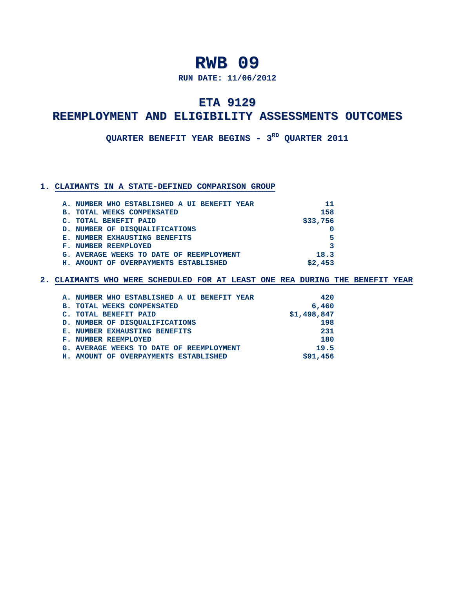**RUN DATE: 11/06/2012**

## **ETA 9129**

### **REEMPLOYMENT AND ELIGIBILITY ASSESSMENTS OUTCOMES**

QUARTER BENEFIT YEAR BEGINS -  $3^{RD}$  QUARTER 2011

#### **1. CLAIMANTS IN A STATE-DEFINED COMPARISON GROUP**

|           | A. NUMBER WHO ESTABLISHED A UI BENEFIT YEAR |          |
|-----------|---------------------------------------------|----------|
| <b>B.</b> | TOTAL WEEKS COMPENSATED                     | 158      |
|           | C. TOTAL BENEFIT PAID                       | \$33,756 |
|           | D. NUMBER OF DISQUALIFICATIONS              |          |
|           | <b>E. NUMBER EXHAUSTING BENEFITS</b>        |          |
|           | <b>F. NUMBER REEMPLOYED</b>                 |          |
|           | G. AVERAGE WEEKS TO DATE OF REEMPLOYMENT    | 18.3     |
|           | H. AMOUNT OF OVERPAYMENTS ESTABLISHED       | \$2.453  |
|           |                                             |          |

| A. NUMBER WHO ESTABLISHED A UI BENEFIT YEAR | 420         |
|---------------------------------------------|-------------|
| <b>B. TOTAL WEEKS COMPENSATED</b>           | 6,460       |
| C. TOTAL BENEFIT PAID                       | \$1,498,847 |
| D. NUMBER OF DISQUALIFICATIONS              | 198         |
| <b>E. NUMBER EXHAUSTING BENEFITS</b>        | 231         |
| <b>F. NUMBER REEMPLOYED</b>                 | 180         |
| G. AVERAGE WEEKS TO DATE OF REEMPLOYMENT    | 19.5        |
| H. AMOUNT OF OVERPAYMENTS ESTABLISHED       | \$91.456    |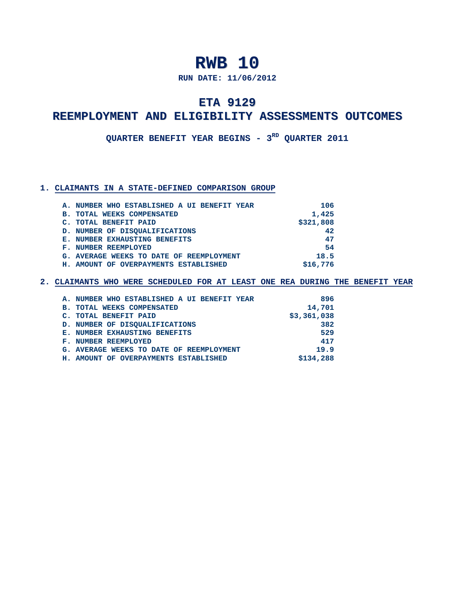**RUN DATE: 11/06/2012**

## **ETA 9129**

### **REEMPLOYMENT AND ELIGIBILITY ASSESSMENTS OUTCOMES**

QUARTER BENEFIT YEAR BEGINS -  $3^{RD}$  QUARTER 2011

### **1. CLAIMANTS IN A STATE-DEFINED COMPARISON GROUP**

| A. NUMBER WHO ESTABLISHED A UI BENEFIT YEAR | 106       |
|---------------------------------------------|-----------|
| <b>B. TOTAL WEEKS COMPENSATED</b>           | 1,425     |
| C. TOTAL BENEFIT PAID                       | \$321,808 |
| D. NUMBER OF DISQUALIFICATIONS              | 42        |
| <b>E. NUMBER EXHAUSTING BENEFITS</b>        | 47        |
| <b>F. NUMBER REEMPLOYED</b>                 | 54        |
| G. AVERAGE WEEKS TO DATE OF REEMPLOYMENT    | 18.5      |
| H. AMOUNT OF OVERPAYMENTS ESTABLISHED       | \$16,776  |

| A. NUMBER WHO ESTABLISHED A UI BENEFIT YEAR | 896         |
|---------------------------------------------|-------------|
| <b>B. TOTAL WEEKS COMPENSATED</b>           | 14,701      |
| C. TOTAL BENEFIT PAID                       | \$3,361,038 |
| D. NUMBER OF DISQUALIFICATIONS              | 382         |
| <b>E. NUMBER EXHAUSTING BENEFITS</b>        | 529         |
| <b>F. NUMBER REEMPLOYED</b>                 | 417         |
| G. AVERAGE WEEKS TO DATE OF REEMPLOYMENT    | 19.9        |
| H. AMOUNT OF OVERPAYMENTS ESTABLISHED       | \$134,288   |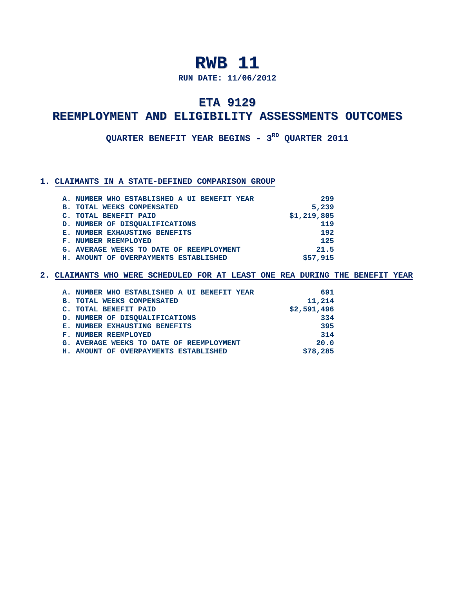**RUN DATE: 11/06/2012**

## **ETA 9129**

### **REEMPLOYMENT AND ELIGIBILITY ASSESSMENTS OUTCOMES**

**QUARTER BENEFIT YEAR BEGINS - 3RD QUARTER 2011**

#### **1. CLAIMANTS IN A STATE-DEFINED COMPARISON GROUP**

| A. NUMBER WHO ESTABLISHED A UI BENEFIT YEAR | 299         |
|---------------------------------------------|-------------|
| <b>B. TOTAL WEEKS COMPENSATED</b>           | 5,239       |
| C. TOTAL BENEFIT PAID                       | \$1,219,805 |
| D. NUMBER OF DISQUALIFICATIONS              | 119         |
| <b>E. NUMBER EXHAUSTING BENEFITS</b>        | 192         |
| <b>F. NUMBER REEMPLOYED</b>                 | 125         |
| G. AVERAGE WEEKS TO DATE OF REEMPLOYMENT    | 21.5        |
| H. AMOUNT OF OVERPAYMENTS ESTABLISHED       | \$57,915    |
|                                             |             |

| A. NUMBER WHO ESTABLISHED A UI BENEFIT YEAR | 691         |
|---------------------------------------------|-------------|
| <b>B. TOTAL WEEKS COMPENSATED</b>           | 11,214      |
| C. TOTAL BENEFIT PAID                       | \$2,591,496 |
| D. NUMBER OF DISQUALIFICATIONS              | 334         |
| <b>E. NUMBER EXHAUSTING BENEFITS</b>        | 395         |
| <b>F. NUMBER REEMPLOYED</b>                 | 314         |
| G. AVERAGE WEEKS TO DATE OF REEMPLOYMENT    | 20.0        |
| H. AMOUNT OF OVERPAYMENTS ESTABLISHED       | \$78,285    |
|                                             |             |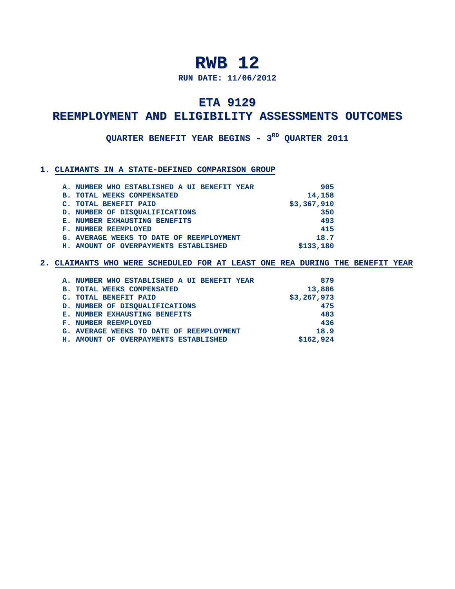**RUN DATE: 11/06/2012**

## **ETA 9129**

### **REEMPLOYMENT AND ELIGIBILITY ASSESSMENTS OUTCOMES**

**QUARTER BENEFIT YEAR BEGINS - 3RD QUARTER 2011**

#### **1. CLAIMANTS IN A STATE-DEFINED COMPARISON GROUP**

| A. NUMBER WHO ESTABLISHED A UI BENEFIT YEAR | 905         |
|---------------------------------------------|-------------|
| <b>B. TOTAL WEEKS COMPENSATED</b>           | 14,158      |
| C. TOTAL BENEFIT PAID                       | \$3,367,910 |
| D. NUMBER OF DISQUALIFICATIONS              | 350         |
| <b>E. NUMBER EXHAUSTING BENEFITS</b>        | 493         |
| <b>F. NUMBER REEMPLOYED</b>                 | 415         |
| G. AVERAGE WEEKS TO DATE OF REEMPLOYMENT    | 18.7        |
| H. AMOUNT OF OVERPAYMENTS ESTABLISHED       | \$133,180   |

| A. NUMBER WHO ESTABLISHED A UI BENEFIT YEAR | 879         |
|---------------------------------------------|-------------|
| <b>B. TOTAL WEEKS COMPENSATED</b>           | 13,886      |
| C. TOTAL BENEFIT PAID                       | \$3,267,973 |
| D. NUMBER OF DISQUALIFICATIONS              | 475         |
| <b>E. NUMBER EXHAUSTING BENEFITS</b>        | 483         |
| <b>F. NUMBER REEMPLOYED</b>                 | 436         |
| G. AVERAGE WEEKS TO DATE OF REEMPLOYMENT    | 18.9        |
| H. AMOUNT OF OVERPAYMENTS ESTABLISHED       | \$162,924   |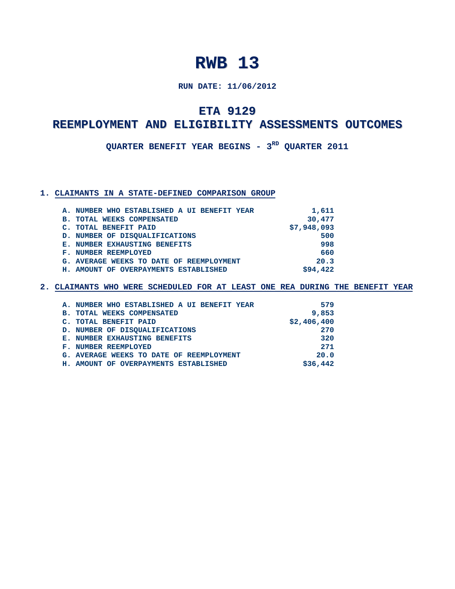### **RUN DATE: 11/06/2012**

## **ETA 9129**

### **REEMPLOYMENT AND ELIGIBILITY ASSESSMENTS OUTCOMES**

**QUARTER BENEFIT YEAR BEGINS - 3RD QUARTER 2011**

#### **1. CLAIMANTS IN A STATE-DEFINED COMPARISON GROUP**

| A. NUMBER WHO ESTABLISHED A UI BENEFIT YEAR | 1,611       |
|---------------------------------------------|-------------|
| <b>B. TOTAL WEEKS COMPENSATED</b>           | 30,477      |
| C. TOTAL BENEFIT PAID                       | \$7,948,093 |
| D. NUMBER OF DISQUALIFICATIONS              | 500         |
| <b>E. NUMBER EXHAUSTING BENEFITS</b>        | 998         |
| F. NUMBER REEMPLOYED                        | 660         |
| G. AVERAGE WEEKS TO DATE OF REEMPLOYMENT    | 20.3        |
| H. AMOUNT OF OVERPAYMENTS ESTABLISHED       | \$94,422    |
|                                             |             |

| A. NUMBER WHO ESTABLISHED A UI BENEFIT YEAR | 579         |
|---------------------------------------------|-------------|
| <b>B. TOTAL WEEKS COMPENSATED</b>           | 9,853       |
| C. TOTAL BENEFIT PAID                       | \$2,406,400 |
| D. NUMBER OF DISQUALIFICATIONS              | 270         |
| <b>E. NUMBER EXHAUSTING BENEFITS</b>        | 320         |
| <b>F. NUMBER REEMPLOYED</b>                 | 271         |
| G. AVERAGE WEEKS TO DATE OF REEMPLOYMENT    | 20.0        |
| H. AMOUNT OF OVERPAYMENTS ESTABLISHED       | \$36,442    |
|                                             |             |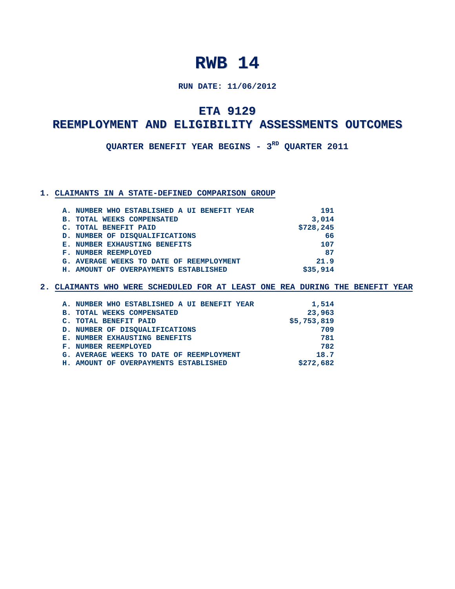### **RUN DATE: 11/06/2012**

## **ETA 9129**

### **REEMPLOYMENT AND ELIGIBILITY ASSESSMENTS OUTCOMES**

**QUARTER BENEFIT YEAR BEGINS - 3RD QUARTER 2011**

#### **1. CLAIMANTS IN A STATE-DEFINED COMPARISON GROUP**

| A. NUMBER WHO ESTABLISHED A UI BENEFIT YEAR | 191       |
|---------------------------------------------|-----------|
| <b>B. TOTAL WEEKS COMPENSATED</b>           | 3,014     |
| C. TOTAL BENEFIT PAID                       | \$728,245 |
| D. NUMBER OF DISQUALIFICATIONS              | 66        |
| <b>E. NUMBER EXHAUSTING BENEFITS</b>        | 107       |
| <b>F. NUMBER REEMPLOYED</b>                 | 87        |
| G. AVERAGE WEEKS TO DATE OF REEMPLOYMENT    | 21.9      |
| H. AMOUNT OF OVERPAYMENTS ESTABLISHED       | \$35,914  |

| A. NUMBER WHO ESTABLISHED A UI BENEFIT YEAR | 1,514       |
|---------------------------------------------|-------------|
| <b>B. TOTAL WEEKS COMPENSATED</b>           | 23,963      |
| C. TOTAL BENEFIT PAID                       | \$5,753,819 |
| D. NUMBER OF DISQUALIFICATIONS              | 709         |
| <b>E. NUMBER EXHAUSTING BENEFITS</b>        | 781         |
| <b>F. NUMBER REEMPLOYED</b>                 | 782         |
| G. AVERAGE WEEKS TO DATE OF REEMPLOYMENT    | 18.7        |
| H. AMOUNT OF OVERPAYMENTS ESTABLISHED       | \$272,682   |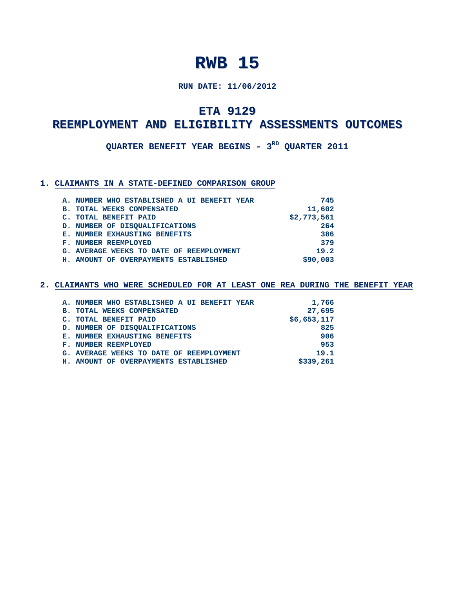### **RUN DATE: 11/06/2012**

### **ETA 9129**

### **REEMPLOYMENT AND ELIGIBILITY ASSESSMENTS OUTCOMES**

**QUARTER BENEFIT YEAR BEGINS - 3RD QUARTER 2011**

#### **1. CLAIMANTS IN A STATE-DEFINED COMPARISON GROUP**

| A. NUMBER WHO ESTABLISHED A UI BENEFIT YEAR | 745         |
|---------------------------------------------|-------------|
| <b>B. TOTAL WEEKS COMPENSATED</b>           | 11,602      |
| C. TOTAL BENEFIT PAID                       | \$2,773,561 |
| D. NUMBER OF DISQUALIFICATIONS              | 264         |
| <b>E. NUMBER EXHAUSTING BENEFITS</b>        | 386         |
| <b>F. NUMBER REEMPLOYED</b>                 | 379         |
| G. AVERAGE WEEKS TO DATE OF REEMPLOYMENT    | 19.2        |
| H. AMOUNT OF OVERPAYMENTS ESTABLISHED       | \$90,003    |
|                                             |             |

| A. NUMBER WHO ESTABLISHED A UI BENEFIT YEAR | 1,766       |
|---------------------------------------------|-------------|
| <b>B. TOTAL WEEKS COMPENSATED</b>           | 27,695      |
| C. TOTAL BENEFIT PAID                       | \$6,653,117 |
| D. NUMBER OF DISQUALIFICATIONS              | 825         |
| <b>E. NUMBER EXHAUSTING BENEFITS</b>        | 906         |
| <b>F. NUMBER REEMPLOYED</b>                 | 953         |
| G. AVERAGE WEEKS TO DATE OF REEMPLOYMENT    | 19.1        |
| H. AMOUNT OF OVERPAYMENTS ESTABLISHED       | \$339,261   |
|                                             |             |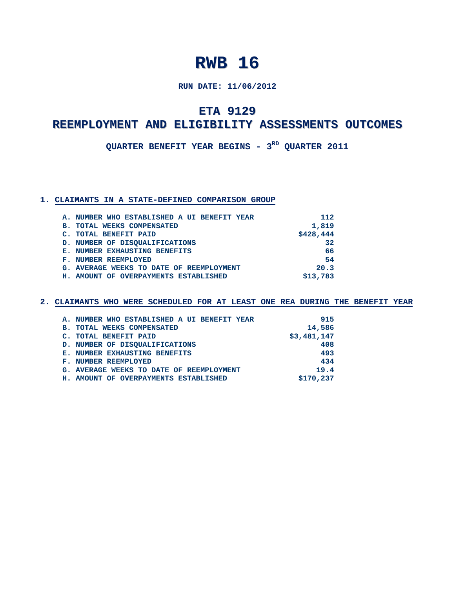### **RUN DATE: 11/06/2012**

### **ETA 9129**

### **REEMPLOYMENT AND ELIGIBILITY ASSESSMENTS OUTCOMES**

**QUARTER BENEFIT YEAR BEGINS - 3RD QUARTER 2011**

#### **1. CLAIMANTS IN A STATE-DEFINED COMPARISON GROUP**

|                | A. NUMBER WHO ESTABLISHED A UI BENEFIT YEAR | 112       |
|----------------|---------------------------------------------|-----------|
|                | <b>B. TOTAL WEEKS COMPENSATED</b>           | 1,819     |
| $\mathbf{C}$ . | <b>TOTAL BENEFIT PAID</b>                   | \$428,444 |
|                | D. NUMBER OF DISQUALIFICATIONS              | 32        |
|                | <b>E. NUMBER EXHAUSTING BENEFITS</b>        | 66        |
|                | <b>F. NUMBER REEMPLOYED</b>                 | 54        |
|                | G. AVERAGE WEEKS TO DATE OF REEMPLOYMENT    | 20.3      |
|                | H. AMOUNT OF OVERPAYMENTS ESTABLISHED       | \$13,783  |
|                |                                             |           |

| A. NUMBER WHO ESTABLISHED A UI BENEFIT YEAR | 915         |
|---------------------------------------------|-------------|
| <b>B. TOTAL WEEKS COMPENSATED</b>           | 14,586      |
| C. TOTAL BENEFIT PAID                       | \$3,481,147 |
| D. NUMBER OF DISQUALIFICATIONS              | 408         |
| <b>E. NUMBER EXHAUSTING BENEFITS</b>        | 493         |
| <b>F. NUMBER REEMPLOYED</b>                 | 434         |
| G. AVERAGE WEEKS TO DATE OF REEMPLOYMENT    | 19.4        |
| H. AMOUNT OF OVERPAYMENTS ESTABLISHED       | \$170,237   |
|                                             |             |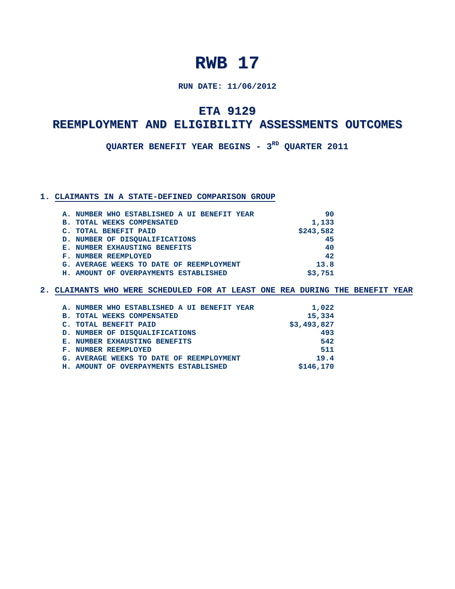### **RUN DATE: 11/06/2012**

### **ETA 9129**

### **REEMPLOYMENT AND ELIGIBILITY ASSESSMENTS OUTCOMES**

**QUARTER BENEFIT YEAR BEGINS - 3RD QUARTER 2011**

#### **1. CLAIMANTS IN A STATE-DEFINED COMPARISON GROUP**

| A. NUMBER WHO ESTABLISHED A UI BENEFIT YEAR | 90        |
|---------------------------------------------|-----------|
| <b>B. TOTAL WEEKS COMPENSATED</b>           | 1,133     |
| C. TOTAL BENEFIT PAID                       | \$243,582 |
| D. NUMBER OF DISQUALIFICATIONS              | 45        |
| <b>E. NUMBER EXHAUSTING BENEFITS</b>        | 40        |
| F. NUMBER REEMPLOYED                        | 42        |
| G. AVERAGE WEEKS TO DATE OF REEMPLOYMENT    | 13.8      |
| H. AMOUNT OF OVERPAYMENTS ESTABLISHED       | \$3,751   |

| A. NUMBER WHO ESTABLISHED A UI BENEFIT YEAR | 1,022       |
|---------------------------------------------|-------------|
| <b>B. TOTAL WEEKS COMPENSATED</b>           | 15,334      |
| C. TOTAL BENEFIT PAID                       | \$3,493,827 |
| D. NUMBER OF DISQUALIFICATIONS              | 493         |
| <b>E. NUMBER EXHAUSTING BENEFITS</b>        | 542         |
| <b>F. NUMBER REEMPLOYED</b>                 | 511         |
| G. AVERAGE WEEKS TO DATE OF REEMPLOYMENT    | 19.4        |
| H. AMOUNT OF OVERPAYMENTS ESTABLISHED       | \$146,170   |
|                                             |             |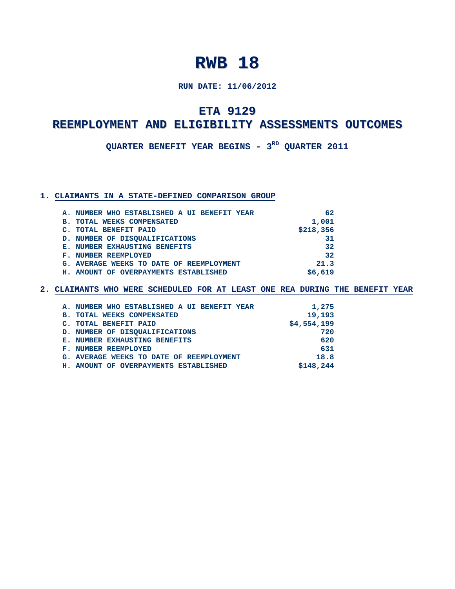### **RUN DATE: 11/06/2012**

### **ETA 9129**

### **REEMPLOYMENT AND ELIGIBILITY ASSESSMENTS OUTCOMES**

**QUARTER BENEFIT YEAR BEGINS - 3RD QUARTER 2011**

#### **1. CLAIMANTS IN A STATE-DEFINED COMPARISON GROUP**

| A. NUMBER WHO ESTABLISHED A UI BENEFIT YEAR | 62        |
|---------------------------------------------|-----------|
| <b>B. TOTAL WEEKS COMPENSATED</b>           | 1,001     |
| C. TOTAL BENEFIT PAID                       | \$218,356 |
| D. NUMBER OF DISQUALIFICATIONS              | 31        |
| E. NUMBER EXHAUSTING BENEFITS               | 32        |
| <b>F. NUMBER REEMPLOYED</b>                 | 32        |
| G. AVERAGE WEEKS TO DATE OF REEMPLOYMENT    | 21.3      |
| H. AMOUNT OF OVERPAYMENTS ESTABLISHED       | \$6,619   |

| A. NUMBER WHO ESTABLISHED A UI BENEFIT YEAR | 1,275       |
|---------------------------------------------|-------------|
| <b>B. TOTAL WEEKS COMPENSATED</b>           | 19,193      |
| C. TOTAL BENEFIT PAID                       | \$4,554,199 |
| D. NUMBER OF DISQUALIFICATIONS              | 720         |
| <b>E. NUMBER EXHAUSTING BENEFITS</b>        | 620         |
| <b>F. NUMBER REEMPLOYED</b>                 | 631         |
| G. AVERAGE WEEKS TO DATE OF REEMPLOYMENT    | 18.8        |
| H. AMOUNT OF OVERPAYMENTS ESTABLISHED       | \$148,244   |
|                                             |             |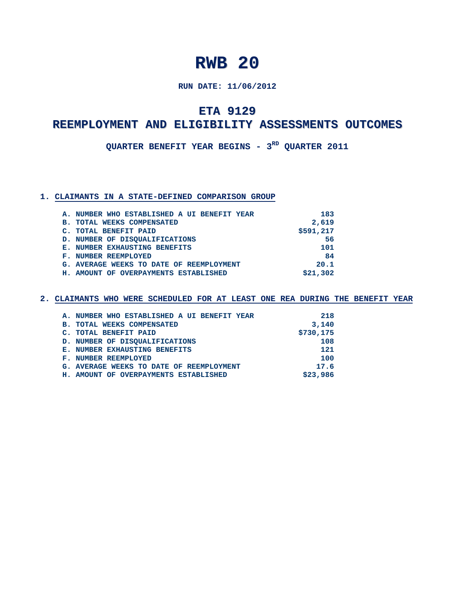### **RUN DATE: 11/06/2012**

### **ETA 9129**

### **REEMPLOYMENT AND ELIGIBILITY ASSESSMENTS OUTCOMES**

**QUARTER BENEFIT YEAR BEGINS - 3RD QUARTER 2011**

#### **1. CLAIMANTS IN A STATE-DEFINED COMPARISON GROUP**

| A. NUMBER WHO ESTABLISHED A UI BENEFIT YEAR | 183       |
|---------------------------------------------|-----------|
| <b>B. TOTAL WEEKS COMPENSATED</b>           | 2,619     |
| C. TOTAL BENEFIT PAID                       | \$591,217 |
| D. NUMBER OF DISQUALIFICATIONS              | 56        |
| <b>E. NUMBER EXHAUSTING BENEFITS</b>        | 101       |
| <b>F. NUMBER REEMPLOYED</b>                 | 84        |
| G. AVERAGE WEEKS TO DATE OF REEMPLOYMENT    | 20.1      |
| H. AMOUNT OF OVERPAYMENTS ESTABLISHED       | \$21,302  |

| A. NUMBER WHO ESTABLISHED A UI BENEFIT YEAR | 218       |
|---------------------------------------------|-----------|
| <b>B. TOTAL WEEKS COMPENSATED</b>           | 3,140     |
| C. TOTAL BENEFIT PAID                       | \$730,175 |
| D. NUMBER OF DISQUALIFICATIONS              | 108       |
| <b>E. NUMBER EXHAUSTING BENEFITS</b>        | 121       |
| <b>F. NUMBER REEMPLOYED</b>                 | 100       |
| G. AVERAGE WEEKS TO DATE OF REEMPLOYMENT    | 17.6      |
| H. AMOUNT OF OVERPAYMENTS ESTABLISHED       | \$23,986  |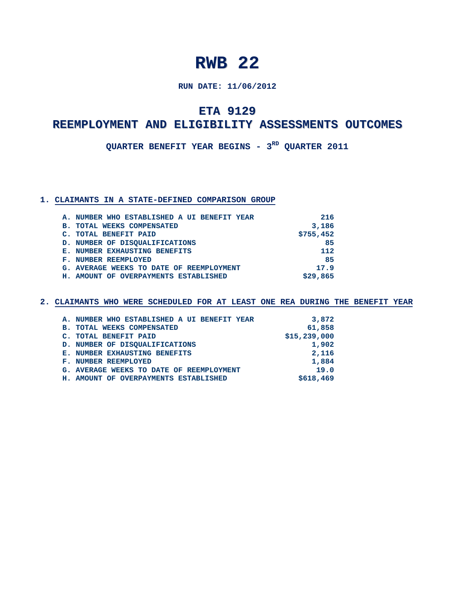### **RUN DATE: 11/06/2012**

### **ETA 9129**

### **REEMPLOYMENT AND ELIGIBILITY ASSESSMENTS OUTCOMES**

**QUARTER BENEFIT YEAR BEGINS - 3RD QUARTER 2011**

#### **1. CLAIMANTS IN A STATE-DEFINED COMPARISON GROUP**

| A. NUMBER WHO ESTABLISHED A UI BENEFIT YEAR | 216       |
|---------------------------------------------|-----------|
| <b>B. TOTAL WEEKS COMPENSATED</b>           | 3,186     |
| C. TOTAL BENEFIT PAID                       | \$755,452 |
| D. NUMBER OF DISQUALIFICATIONS              | 85        |
| E. NUMBER EXHAUSTING BENEFITS               | 112       |
| <b>F. NUMBER REEMPLOYED</b>                 | 85        |
| G. AVERAGE WEEKS TO DATE OF REEMPLOYMENT    | 17.9      |
| H. AMOUNT OF OVERPAYMENTS ESTABLISHED       | \$29,865  |
|                                             |           |

| A. NUMBER WHO ESTABLISHED A UI BENEFIT YEAR | 3,872        |
|---------------------------------------------|--------------|
| <b>B. TOTAL WEEKS COMPENSATED</b>           | 61,858       |
| C. TOTAL BENEFIT PAID                       | \$15,239,000 |
| D. NUMBER OF DISQUALIFICATIONS              | 1,902        |
| <b>E. NUMBER EXHAUSTING BENEFITS</b>        | 2,116        |
| <b>F. NUMBER REEMPLOYED</b>                 | 1,884        |
| G. AVERAGE WEEKS TO DATE OF REEMPLOYMENT    | 19.0         |
| H. AMOUNT OF OVERPAYMENTS ESTABLISHED       | \$618,469    |